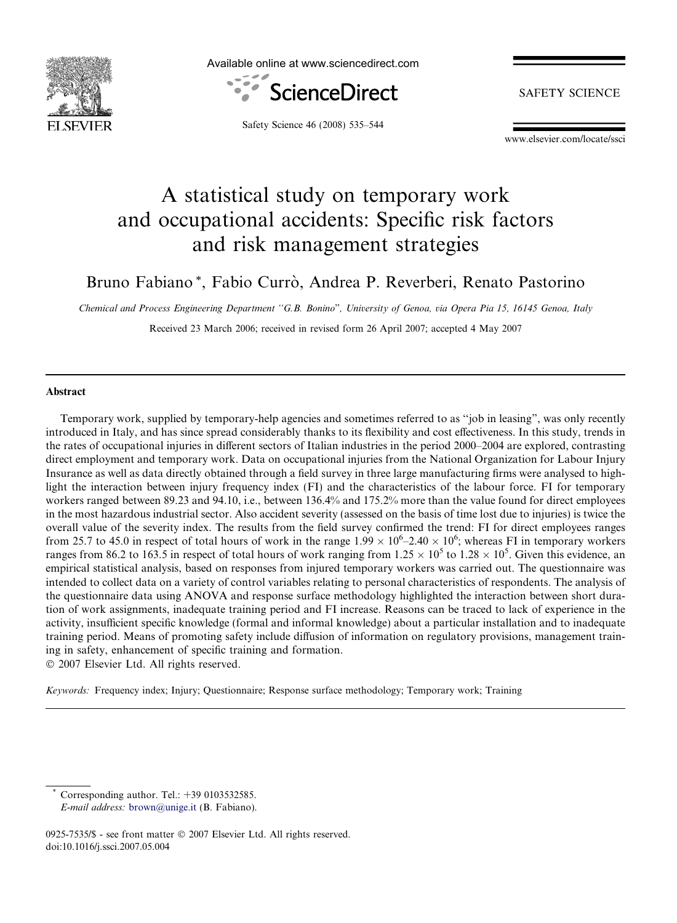

Available online at www.sciencedirect.com



**SAFETY SCIENCE** 

Safety Science 46 (2008) 535–544

www.elsevier.com/locate/ssci

## A statistical study on temporary work and occupational accidents: Specific risk factors and risk management strategies

Bruno Fabiano\*, Fabio Currò, Andrea P. Reverberi, Renato Pastorino

Chemical and Process Engineering Department ''G.B. Bonino", University of Genoa, via Opera Pia 15, 16145 Genoa, Italy Received 23 March 2006; received in revised form 26 April 2007; accepted 4 May 2007

## Abstract

Temporary work, supplied by temporary-help agencies and sometimes referred to as ''job in leasing", was only recently introduced in Italy, and has since spread considerably thanks to its flexibility and cost effectiveness. In this study, trends in the rates of occupational injuries in different sectors of Italian industries in the period 2000–2004 are explored, contrasting direct employment and temporary work. Data on occupational injuries from the National Organization for Labour Injury Insurance as well as data directly obtained through a field survey in three large manufacturing firms were analysed to highlight the interaction between injury frequency index (FI) and the characteristics of the labour force. FI for temporary workers ranged between 89.23 and 94.10, i.e., between 136.4% and 175.2% more than the value found for direct employees in the most hazardous industrial sector. Also accident severity (assessed on the basis of time lost due to injuries) is twice the overall value of the severity index. The results from the field survey confirmed the trend: FI for direct employees ranges from 25.7 to 45.0 in respect of total hours of work in the range  $1.99 \times 10^6$ –2.40  $\times 10^6$ ; whereas FI in temporary workers ranges from 86.2 to 163.5 in respect of total hours of work ranging from  $1.25 \times 10^5$  to  $1.28 \times 10^5$ . Given this evidence, an empirical statistical analysis, based on responses from injured temporary workers was carried out. The questionnaire was intended to collect data on a variety of control variables relating to personal characteristics of respondents. The analysis of the questionnaire data using ANOVA and response surface methodology highlighted the interaction between short duration of work assignments, inadequate training period and FI increase. Reasons can be traced to lack of experience in the activity, insufficient specific knowledge (formal and informal knowledge) about a particular installation and to inadequate training period. Means of promoting safety include diffusion of information on regulatory provisions, management training in safety, enhancement of specific training and formation.  $© 2007 Elsevier Ltd. All rights reserved.$ 

Keywords: Frequency index; Injury; Questionnaire; Response surface methodology; Temporary work; Training

Corresponding author. Tel.:  $+39$  0103532585.

E-mail address: [brown@unige.it](mailto:brown@unige.it) (B. Fabiano).

<sup>0925-7535/\$ -</sup> see front matter © 2007 Elsevier Ltd. All rights reserved. doi:10.1016/j.ssci.2007.05.004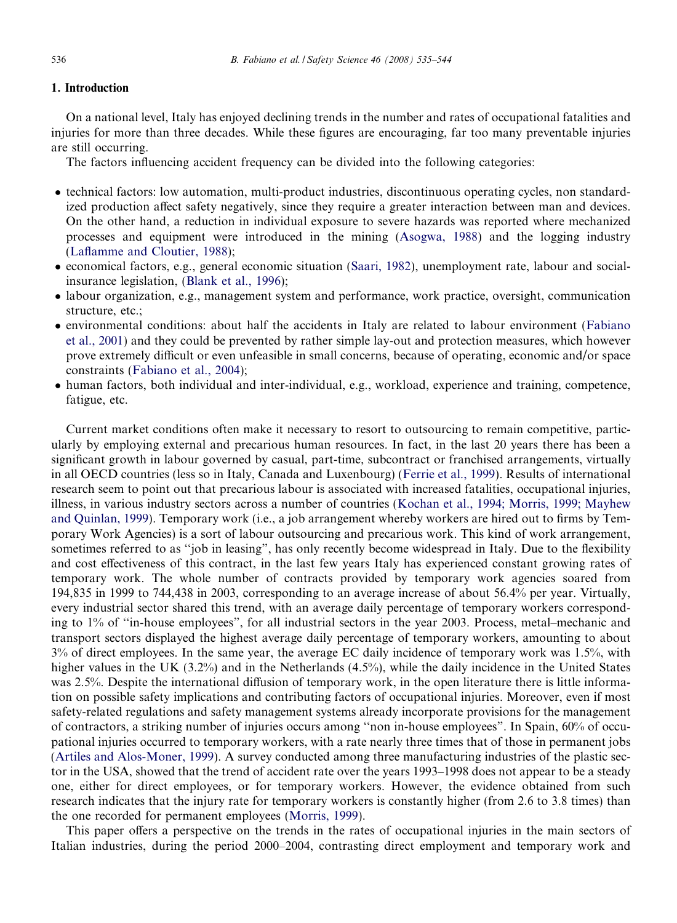## 1. Introduction

On a national level, Italy has enjoyed declining trends in the number and rates of occupational fatalities and injuries for more than three decades. While these figures are encouraging, far too many preventable injuries are still occurring.

The factors influencing accident frequency can be divided into the following categories:

- technical factors: low automation, multi-product industries, discontinuous operating cycles, non standardized production affect safety negatively, since they require a greater interaction between man and devices. On the other hand, a reduction in individual exposure to severe hazards was reported where mechanized processes and equipment were introduced in the mining ([Asogwa, 1988](#page--1-0)) and the logging industry [\(Laflamme and Cloutier, 1988](#page--1-0));
- economical factors, e.g., general economic situation ([Saari, 1982\)](#page--1-0), unemployment rate, labour and socialinsurance legislation, ([Blank et al., 1996\)](#page--1-0);
- labour organization, e.g., management system and performance, work practice, oversight, communication structure, etc.;
- environmental conditions: about half the accidents in Italy are related to labour environment ([Fabiano](#page--1-0) [et al., 2001](#page--1-0)) and they could be prevented by rather simple lay-out and protection measures, which however prove extremely difficult or even unfeasible in small concerns, because of operating, economic and/or space constraints ([Fabiano et al., 2004](#page--1-0));
- human factors, both individual and inter-individual, e.g., workload, experience and training, competence, fatigue, etc.

Current market conditions often make it necessary to resort to outsourcing to remain competitive, particularly by employing external and precarious human resources. In fact, in the last 20 years there has been a significant growth in labour governed by casual, part-time, subcontract or franchised arrangements, virtually in all OECD countries (less so in Italy, Canada and Luxenbourg) ([Ferrie et al., 1999](#page--1-0)). Results of international research seem to point out that precarious labour is associated with increased fatalities, occupational injuries, illness, in various industry sectors across a number of countries ([Kochan et al., 1994; Morris, 1999; Mayhew](#page--1-0) [and Quinlan, 1999\)](#page--1-0). Temporary work (i.e., a job arrangement whereby workers are hired out to firms by Temporary Work Agencies) is a sort of labour outsourcing and precarious work. This kind of work arrangement, sometimes referred to as ''job in leasing", has only recently become widespread in Italy. Due to the flexibility and cost effectiveness of this contract, in the last few years Italy has experienced constant growing rates of temporary work. The whole number of contracts provided by temporary work agencies soared from 194,835 in 1999 to 744,438 in 2003, corresponding to an average increase of about 56.4% per year. Virtually, every industrial sector shared this trend, with an average daily percentage of temporary workers corresponding to 1% of ''in-house employees", for all industrial sectors in the year 2003. Process, metal–mechanic and transport sectors displayed the highest average daily percentage of temporary workers, amounting to about 3% of direct employees. In the same year, the average EC daily incidence of temporary work was 1.5%, with higher values in the UK (3.2%) and in the Netherlands (4.5%), while the daily incidence in the United States was 2.5%. Despite the international diffusion of temporary work, in the open literature there is little information on possible safety implications and contributing factors of occupational injuries. Moreover, even if most safety-related regulations and safety management systems already incorporate provisions for the management of contractors, a striking number of injuries occurs among ''non in-house employees". In Spain, 60% of occupational injuries occurred to temporary workers, with a rate nearly three times that of those in permanent jobs ([Artiles and Alos-Moner, 1999](#page--1-0)). A survey conducted among three manufacturing industries of the plastic sector in the USA, showed that the trend of accident rate over the years 1993–1998 does not appear to be a steady one, either for direct employees, or for temporary workers. However, the evidence obtained from such research indicates that the injury rate for temporary workers is constantly higher (from 2.6 to 3.8 times) than the one recorded for permanent employees ([Morris, 1999](#page--1-0)).

This paper offers a perspective on the trends in the rates of occupational injuries in the main sectors of Italian industries, during the period 2000–2004, contrasting direct employment and temporary work and